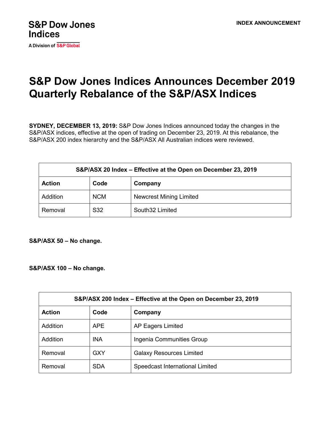

A Division of S&P Global

## **S&P Dow Jones Indices Announces December 2019 Quarterly Rebalance of the S&P/ASX Indices**

**SYDNEY, DECEMBER 13, 2019:** S&P Dow Jones Indices announced today the changes in the S&P/ASX indices, effective at the open of trading on December 23, 2019. At this rebalance, the S&P/ASX 200 index hierarchy and the S&P/ASX All Australian indices were reviewed.

| S&P/ASX 20 Index - Effective at the Open on December 23, 2019 |            |                                |  |  |
|---------------------------------------------------------------|------------|--------------------------------|--|--|
| <b>Action</b>                                                 | Code       | Company                        |  |  |
| Addition                                                      | <b>NCM</b> | <b>Newcrest Mining Limited</b> |  |  |
| Removal                                                       | S32        | South32 Limited                |  |  |

**S&P/ASX 50 – No change.**

**S&P/ASX 100 – No change.**

| S&P/ASX 200 Index – Effective at the Open on December 23, 2019 |            |                                 |  |  |
|----------------------------------------------------------------|------------|---------------------------------|--|--|
| <b>Action</b>                                                  | Code       | Company                         |  |  |
| Addition                                                       | APE        | AP Eagers Limited               |  |  |
| Addition                                                       | <b>INA</b> | Ingenia Communities Group       |  |  |
| Removal                                                        | <b>GXY</b> | <b>Galaxy Resources Limited</b> |  |  |
| Removal                                                        | <b>SDA</b> | Speedcast International Limited |  |  |